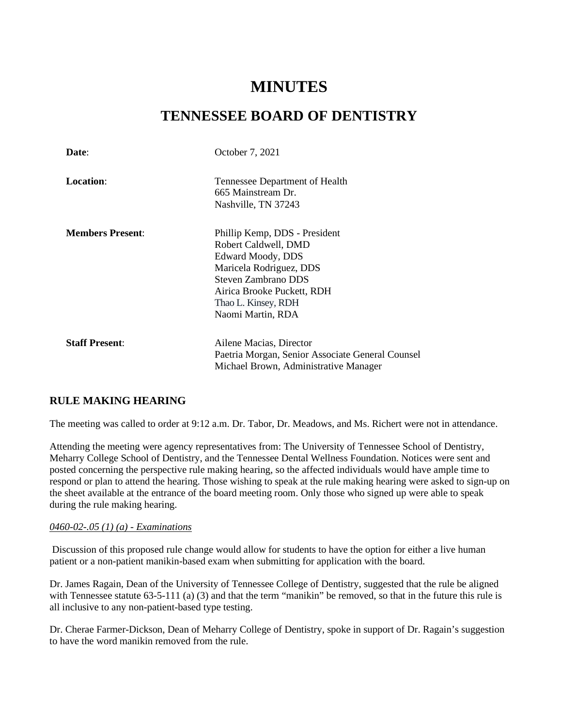# **MINUTES**

## **TENNESSEE BOARD OF DENTISTRY**

| Date:                   | October 7, 2021                                                                                                                                                                                        |
|-------------------------|--------------------------------------------------------------------------------------------------------------------------------------------------------------------------------------------------------|
| Location:               | Tennessee Department of Health<br>665 Mainstream Dr.<br>Nashville, TN 37243                                                                                                                            |
| <b>Members Present:</b> | Phillip Kemp, DDS - President<br>Robert Caldwell, DMD<br>Edward Moody, DDS<br>Maricela Rodriguez, DDS<br>Steven Zambrano DDS<br>Airica Brooke Puckett, RDH<br>Thao L. Kinsey, RDH<br>Naomi Martin, RDA |
| <b>Staff Present:</b>   | Ailene Macias, Director<br>Paetria Morgan, Senior Associate General Counsel<br>Michael Brown, Administrative Manager                                                                                   |

## **RULE MAKING HEARING**

The meeting was called to order at 9:12 a.m. Dr. Tabor, Dr. Meadows, and Ms. Richert were not in attendance.

Attending the meeting were agency representatives from: The University of Tennessee School of Dentistry, Meharry College School of Dentistry, and the Tennessee Dental Wellness Foundation. Notices were sent and posted concerning the perspective rule making hearing, so the affected individuals would have ample time to respond or plan to attend the hearing. Those wishing to speak at the rule making hearing were asked to sign-up on the sheet available at the entrance of the board meeting room. Only those who signed up were able to speak during the rule making hearing.

#### *0460-02-.05 (1) (a) - Examinations*

Discussion of this proposed rule change would allow for students to have the option for either a live human patient or a non-patient manikin-based exam when submitting for application with the board.

Dr. James Ragain, Dean of the University of Tennessee College of Dentistry, suggested that the rule be aligned with Tennessee statute 63-5-111 (a) (3) and that the term "manikin" be removed, so that in the future this rule is all inclusive to any non-patient-based type testing.

Dr. Cherae Farmer-Dickson, Dean of Meharry College of Dentistry, spoke in support of Dr. Ragain's suggestion to have the word manikin removed from the rule.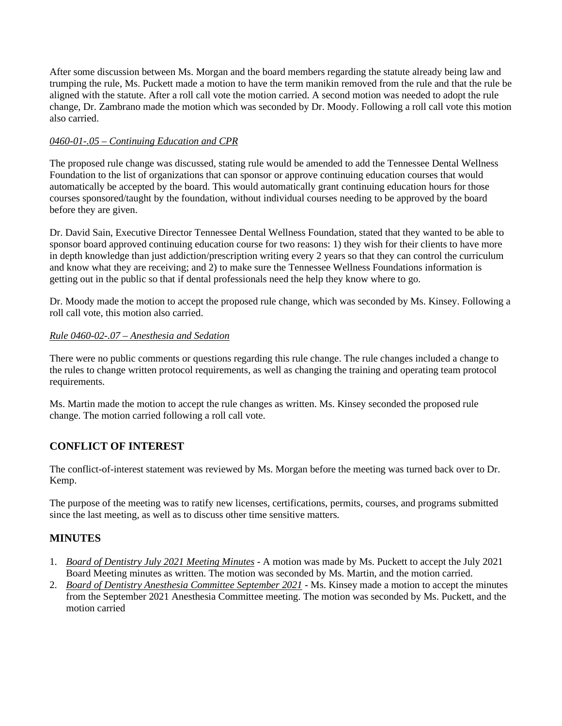After some discussion between Ms. Morgan and the board members regarding the statute already being law and trumping the rule, Ms. Puckett made a motion to have the term manikin removed from the rule and that the rule be aligned with the statute. After a roll call vote the motion carried. A second motion was needed to adopt the rule change, Dr. Zambrano made the motion which was seconded by Dr. Moody. Following a roll call vote this motion also carried.

#### *0460-01-.05 – Continuing Education and CPR*

The proposed rule change was discussed, stating rule would be amended to add the Tennessee Dental Wellness Foundation to the list of organizations that can sponsor or approve continuing education courses that would automatically be accepted by the board. This would automatically grant continuing education hours for those courses sponsored/taught by the foundation, without individual courses needing to be approved by the board before they are given.

Dr. David Sain, Executive Director Tennessee Dental Wellness Foundation, stated that they wanted to be able to sponsor board approved continuing education course for two reasons: 1) they wish for their clients to have more in depth knowledge than just addiction/prescription writing every 2 years so that they can control the curriculum and know what they are receiving; and 2) to make sure the Tennessee Wellness Foundations information is getting out in the public so that if dental professionals need the help they know where to go.

Dr. Moody made the motion to accept the proposed rule change, which was seconded by Ms. Kinsey. Following a roll call vote, this motion also carried.

#### *Rule 0460-02-.07 – Anesthesia and Sedation*

There were no public comments or questions regarding this rule change. The rule changes included a change to the rules to change written protocol requirements, as well as changing the training and operating team protocol requirements.

Ms. Martin made the motion to accept the rule changes as written. Ms. Kinsey seconded the proposed rule change. The motion carried following a roll call vote.

## **CONFLICT OF INTEREST**

The conflict-of-interest statement was reviewed by Ms. Morgan before the meeting was turned back over to Dr. Kemp.

The purpose of the meeting was to ratify new licenses, certifications, permits, courses, and programs submitted since the last meeting, as well as to discuss other time sensitive matters.

## **MINUTES**

- 1. *Board of Dentistry July 2021 Meeting Minutes* A motion was made by Ms. Puckett to accept the July 2021 Board Meeting minutes as written. The motion was seconded by Ms. Martin, and the motion carried.
- 2. *Board of Dentistry Anesthesia Committee September 2021* Ms. Kinsey made a motion to accept the minutes from the September 2021 Anesthesia Committee meeting. The motion was seconded by Ms. Puckett, and the motion carried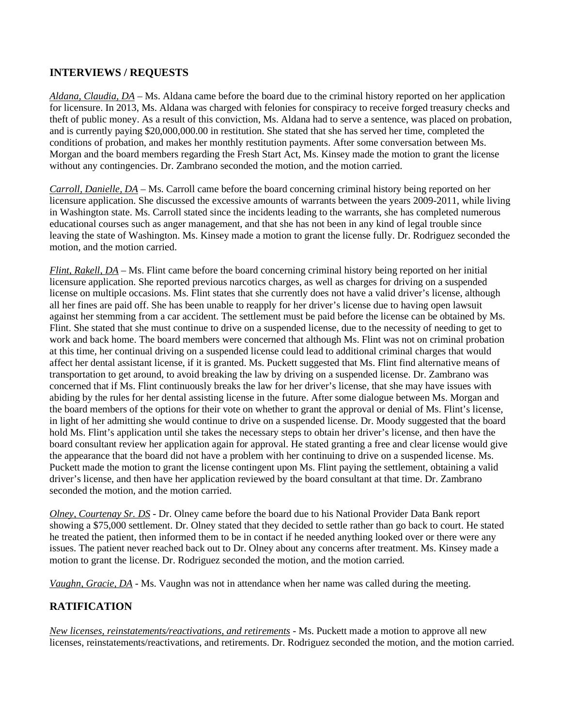## **INTERVIEWS / REQUESTS**

*Aldana, Claudia, DA* – Ms. Aldana came before the board due to the criminal history reported on her application for licensure. In 2013, Ms. Aldana was charged with felonies for conspiracy to receive forged treasury checks and theft of public money. As a result of this conviction, Ms. Aldana had to serve a sentence, was placed on probation, and is currently paying \$20,000,000.00 in restitution. She stated that she has served her time, completed the conditions of probation, and makes her monthly restitution payments. After some conversation between Ms. Morgan and the board members regarding the Fresh Start Act, Ms. Kinsey made the motion to grant the license without any contingencies. Dr. Zambrano seconded the motion, and the motion carried.

*Carroll, Danielle, DA* – Ms. Carroll came before the board concerning criminal history being reported on her licensure application. She discussed the excessive amounts of warrants between the years 2009-2011, while living in Washington state. Ms. Carroll stated since the incidents leading to the warrants, she has completed numerous educational courses such as anger management, and that she has not been in any kind of legal trouble since leaving the state of Washington. Ms. Kinsey made a motion to grant the license fully. Dr. Rodriguez seconded the motion, and the motion carried.

*Flint, Rakell, DA* – Ms. Flint came before the board concerning criminal history being reported on her initial licensure application. She reported previous narcotics charges, as well as charges for driving on a suspended license on multiple occasions. Ms. Flint states that she currently does not have a valid driver's license, although all her fines are paid off. She has been unable to reapply for her driver's license due to having open lawsuit against her stemming from a car accident. The settlement must be paid before the license can be obtained by Ms. Flint. She stated that she must continue to drive on a suspended license, due to the necessity of needing to get to work and back home. The board members were concerned that although Ms. Flint was not on criminal probation at this time, her continual driving on a suspended license could lead to additional criminal charges that would affect her dental assistant license, if it is granted. Ms. Puckett suggested that Ms. Flint find alternative means of transportation to get around, to avoid breaking the law by driving on a suspended license. Dr. Zambrano was concerned that if Ms. Flint continuously breaks the law for her driver's license, that she may have issues with abiding by the rules for her dental assisting license in the future. After some dialogue between Ms. Morgan and the board members of the options for their vote on whether to grant the approval or denial of Ms. Flint's license, in light of her admitting she would continue to drive on a suspended license. Dr. Moody suggested that the board hold Ms. Flint's application until she takes the necessary steps to obtain her driver's license, and then have the board consultant review her application again for approval. He stated granting a free and clear license would give the appearance that the board did not have a problem with her continuing to drive on a suspended license. Ms. Puckett made the motion to grant the license contingent upon Ms. Flint paying the settlement, obtaining a valid driver's license, and then have her application reviewed by the board consultant at that time. Dr. Zambrano seconded the motion, and the motion carried.

*Olney, Courtenay Sr. DS* - Dr. Olney came before the board due to his National Provider Data Bank report showing a \$75,000 settlement. Dr. Olney stated that they decided to settle rather than go back to court. He stated he treated the patient, then informed them to be in contact if he needed anything looked over or there were any issues. The patient never reached back out to Dr. Olney about any concerns after treatment. Ms. Kinsey made a motion to grant the license. Dr. Rodriguez seconded the motion, and the motion carried.

*Vaughn, Gracie, DA* - Ms. Vaughn was not in attendance when her name was called during the meeting.

## **RATIFICATION**

*New licenses, reinstatements/reactivations, and retirements* - Ms. Puckett made a motion to approve all new licenses, reinstatements/reactivations, and retirements. Dr. Rodriguez seconded the motion, and the motion carried.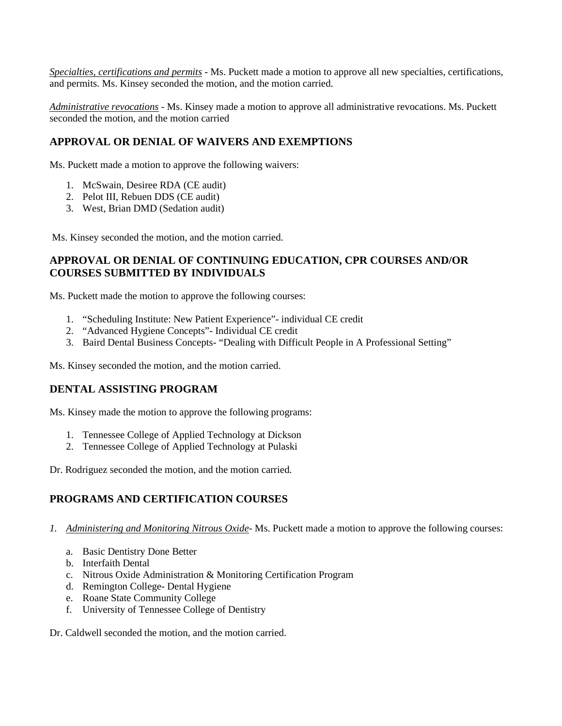*Specialties, certifications and permits* - Ms. Puckett made a motion to approve all new specialties, certifications, and permits. Ms. Kinsey seconded the motion, and the motion carried.

*Administrative revocations* - Ms. Kinsey made a motion to approve all administrative revocations. Ms. Puckett seconded the motion, and the motion carried

#### **APPROVAL OR DENIAL OF WAIVERS AND EXEMPTIONS**

Ms. Puckett made a motion to approve the following waivers:

- 1. McSwain, Desiree RDA (CE audit)
- 2. Pelot III, Rebuen DDS (CE audit)
- 3. West, Brian DMD (Sedation audit)

Ms. Kinsey seconded the motion, and the motion carried.

#### **APPROVAL OR DENIAL OF CONTINUING EDUCATION, CPR COURSES AND/OR COURSES SUBMITTED BY INDIVIDUALS**

Ms. Puckett made the motion to approve the following courses:

- 1. "Scheduling Institute: New Patient Experience"- individual CE credit
- 2. "Advanced Hygiene Concepts"- Individual CE credit
- 3. Baird Dental Business Concepts- "Dealing with Difficult People in A Professional Setting"

Ms. Kinsey seconded the motion, and the motion carried.

#### **DENTAL ASSISTING PROGRAM**

Ms. Kinsey made the motion to approve the following programs:

- 1. Tennessee College of Applied Technology at Dickson
- 2. Tennessee College of Applied Technology at Pulaski

Dr. Rodriguez seconded the motion, and the motion carried.

## **PROGRAMS AND CERTIFICATION COURSES**

- *1. Administering and Monitoring Nitrous Oxide* Ms. Puckett made a motion to approve the following courses:
	- a. Basic Dentistry Done Better
	- b. Interfaith Dental
	- c. Nitrous Oxide Administration & Monitoring Certification Program
	- d. Remington College- Dental Hygiene
	- e. Roane State Community College
	- f. University of Tennessee College of Dentistry

Dr. Caldwell seconded the motion, and the motion carried.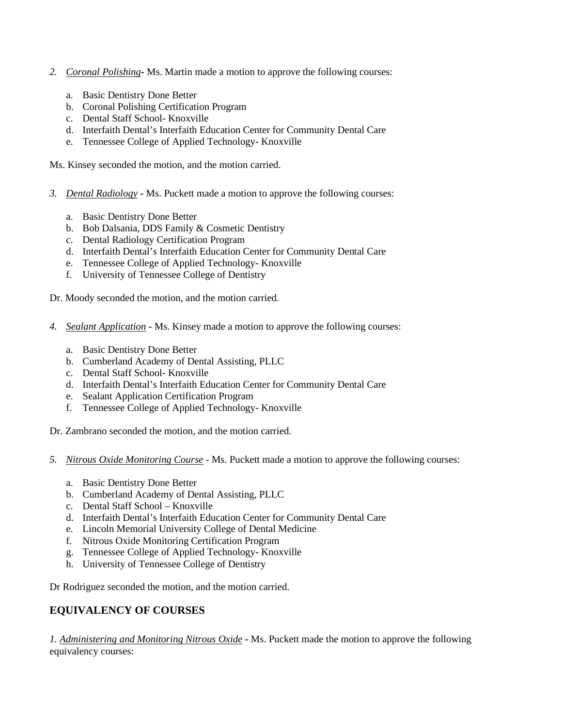- *2. Coronal Polishing***-** Ms. Martin made a motion to approve the following courses:
	- a. Basic Dentistry Done Better
	- b. Coronal Polishing Certification Program
	- c. Dental Staff School- Knoxville
	- d. Interfaith Dental's Interfaith Education Center for Community Dental Care
	- e. Tennessee College of Applied Technology- Knoxville

Ms. Kinsey seconded the motion, and the motion carried.

- *3. Dental Radiology* **-** Ms. Puckett made a motion to approve the following courses:
	- a. Basic Dentistry Done Better
	- b. Bob Dalsania, DDS Family & Cosmetic Dentistry
	- c. Dental Radiology Certification Program
	- d. Interfaith Dental's Interfaith Education Center for Community Dental Care
	- e. Tennessee College of Applied Technology- Knoxville
	- f. University of Tennessee College of Dentistry

Dr. Moody seconded the motion, and the motion carried.

- *4. Sealant Application* **-** Ms. Kinsey made a motion to approve the following courses:
	- a. Basic Dentistry Done Better
	- b. Cumberland Academy of Dental Assisting, PLLC
	- c. Dental Staff School- Knoxville
	- d. Interfaith Dental's Interfaith Education Center for Community Dental Care
	- e. Sealant Application Certification Program
	- f. Tennessee College of Applied Technology- Knoxville

Dr. Zambrano seconded the motion, and the motion carried.

- *5. Nitrous Oxide Monitoring Course* Ms. Puckett made a motion to approve the following courses:
	- a. Basic Dentistry Done Better
	- b. Cumberland Academy of Dental Assisting, PLLC
	- c. Dental Staff School Knoxville
	- d. Interfaith Dental's Interfaith Education Center for Community Dental Care
	- e. Lincoln Memorial University College of Dental Medicine
	- f. Nitrous Oxide Monitoring Certification Program
	- g. Tennessee College of Applied Technology- Knoxville
	- h. University of Tennessee College of Dentistry

Dr Rodriguez seconded the motion, and the motion carried.

## **EQUIVALENCY OF COURSES**

*1. Administering and Monitoring Nitrous Oxide* **-** Ms. Puckett made the motion to approve the following equivalency courses: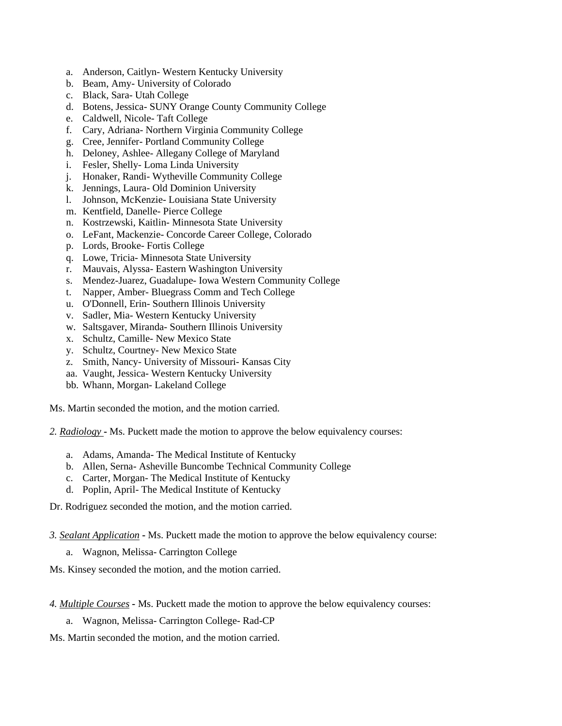- a. Anderson, Caitlyn- Western Kentucky University
- b. Beam, Amy- University of Colorado
- c. Black, Sara- Utah College
- d. Botens, Jessica- SUNY Orange County Community College
- e. Caldwell, Nicole- Taft College
- f. Cary, Adriana- Northern Virginia Community College
- g. Cree, Jennifer- Portland Community College
- h. Deloney, Ashlee- Allegany College of Maryland
- i. Fesler, Shelly- Loma Linda University
- j. Honaker, Randi- Wytheville Community College
- k. Jennings, Laura- Old Dominion University
- l. Johnson, McKenzie- Louisiana State University
- m. Kentfield, Danelle- Pierce College
- n. Kostrzewski, Kaitlin- Minnesota State University
- o. LeFant, Mackenzie- Concorde Career College, Colorado
- p. Lords, Brooke- Fortis College
- q. Lowe, Tricia- Minnesota State University
- r. Mauvais, Alyssa- Eastern Washington University
- s. Mendez-Juarez, Guadalupe- Iowa Western Community College
- t. Napper, Amber- Bluegrass Comm and Tech College
- u. O'Donnell, Erin- Southern Illinois University
- v. Sadler, Mia- Western Kentucky University
- w. Saltsgaver, Miranda- Southern Illinois University
- x. Schultz, Camille- New Mexico State
- y. Schultz, Courtney- New Mexico State
- z. Smith, Nancy- University of Missouri- Kansas City
- aa. Vaught, Jessica- Western Kentucky University
- bb. Whann, Morgan- Lakeland College

Ms. Martin seconded the motion, and the motion carried.

- *2. Radiology* **-** Ms. Puckett made the motion to approve the below equivalency courses:
	- a. Adams, Amanda- The Medical Institute of Kentucky
	- b. Allen, Serna- Asheville Buncombe Technical Community College
	- c. Carter, Morgan- The Medical Institute of Kentucky
	- d. Poplin, April- The Medical Institute of Kentucky

Dr. Rodriguez seconded the motion, and the motion carried.

- *3. Sealant Application* **-** Ms. Puckett made the motion to approve the below equivalency course:
	- a. Wagnon, Melissa- Carrington College
- Ms. Kinsey seconded the motion, and the motion carried.

*4. Multiple Courses* **-** Ms. Puckett made the motion to approve the below equivalency courses:

- a. Wagnon, Melissa- Carrington College- Rad-CP
- Ms. Martin seconded the motion, and the motion carried.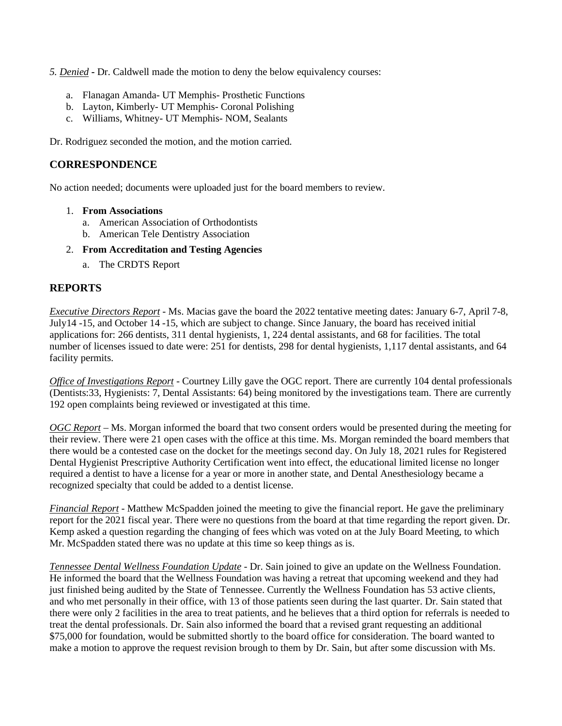*5. Denied* **-** Dr. Caldwell made the motion to deny the below equivalency courses:

- a. Flanagan Amanda- UT Memphis- Prosthetic Functions
- b. Layton, Kimberly- UT Memphis- Coronal Polishing
- c. Williams, Whitney- UT Memphis- NOM, Sealants

Dr. Rodriguez seconded the motion, and the motion carried.

#### **CORRESPONDENCE**

No action needed; documents were uploaded just for the board members to review.

- 1. **From Associations** 
	- a. American Association of Orthodontists
	- b. American Tele Dentistry Association
- 2. **From Accreditation and Testing Agencies**
	- a. The CRDTS Report

## **REPORTS**

*Executive Directors Report* - Ms. Macias gave the board the 2022 tentative meeting dates: January 6-7, April 7-8, July14 -15, and October 14 -15, which are subject to change. Since January, the board has received initial applications for: 266 dentists, 311 dental hygienists, 1, 224 dental assistants, and 68 for facilities. The total number of licenses issued to date were: 251 for dentists, 298 for dental hygienists, 1,117 dental assistants, and 64 facility permits.

*Office of Investigations Report* - Courtney Lilly gave the OGC report. There are currently 104 dental professionals (Dentists:33, Hygienists: 7, Dental Assistants: 64) being monitored by the investigations team. There are currently 192 open complaints being reviewed or investigated at this time.

*OGC Report* – Ms. Morgan informed the board that two consent orders would be presented during the meeting for their review. There were 21 open cases with the office at this time. Ms. Morgan reminded the board members that there would be a contested case on the docket for the meetings second day. On July 18, 2021 rules for Registered Dental Hygienist Prescriptive Authority Certification went into effect, the educational limited license no longer required a dentist to have a license for a year or more in another state, and Dental Anesthesiology became a recognized specialty that could be added to a dentist license.

*Financial Report* - Matthew McSpadden joined the meeting to give the financial report. He gave the preliminary report for the 2021 fiscal year. There were no questions from the board at that time regarding the report given. Dr. Kemp asked a question regarding the changing of fees which was voted on at the July Board Meeting, to which Mr. McSpadden stated there was no update at this time so keep things as is.

*Tennessee Dental Wellness Foundation Update* - Dr. Sain joined to give an update on the Wellness Foundation. He informed the board that the Wellness Foundation was having a retreat that upcoming weekend and they had just finished being audited by the State of Tennessee. Currently the Wellness Foundation has 53 active clients, and who met personally in their office, with 13 of those patients seen during the last quarter. Dr. Sain stated that there were only 2 facilities in the area to treat patients, and he believes that a third option for referrals is needed to treat the dental professionals. Dr. Sain also informed the board that a revised grant requesting an additional \$75,000 for foundation, would be submitted shortly to the board office for consideration. The board wanted to make a motion to approve the request revision brough to them by Dr. Sain, but after some discussion with Ms.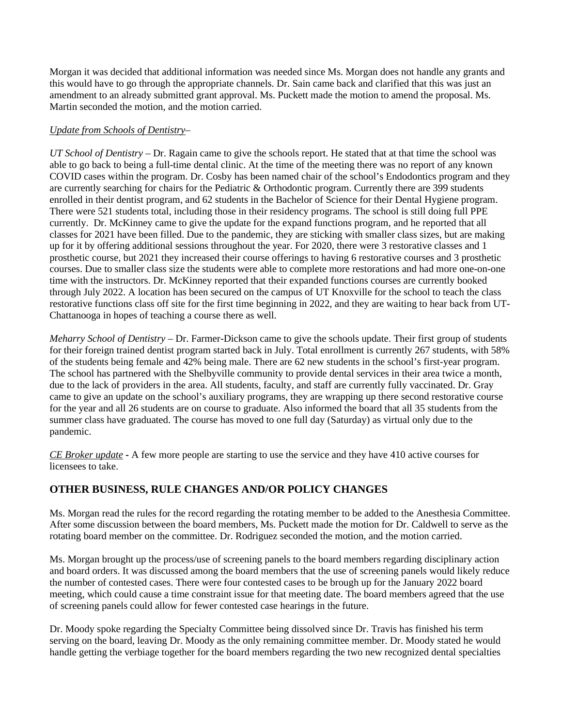Morgan it was decided that additional information was needed since Ms. Morgan does not handle any grants and this would have to go through the appropriate channels. Dr. Sain came back and clarified that this was just an amendment to an already submitted grant approval. Ms. Puckett made the motion to amend the proposal. Ms. Martin seconded the motion, and the motion carried.

#### *Update from Schools of Dentistry*–

*UT School of Dentistry* – Dr. Ragain came to give the schools report. He stated that at that time the school was able to go back to being a full-time dental clinic. At the time of the meeting there was no report of any known COVID cases within the program. Dr. Cosby has been named chair of the school's Endodontics program and they are currently searching for chairs for the Pediatric & Orthodontic program. Currently there are 399 students enrolled in their dentist program, and 62 students in the Bachelor of Science for their Dental Hygiene program. There were 521 students total, including those in their residency programs. The school is still doing full PPE currently. Dr. McKinney came to give the update for the expand functions program, and he reported that all classes for 2021 have been filled. Due to the pandemic, they are sticking with smaller class sizes, but are making up for it by offering additional sessions throughout the year. For 2020, there were 3 restorative classes and 1 prosthetic course, but 2021 they increased their course offerings to having 6 restorative courses and 3 prosthetic courses. Due to smaller class size the students were able to complete more restorations and had more one-on-one time with the instructors. Dr. McKinney reported that their expanded functions courses are currently booked through July 2022. A location has been secured on the campus of UT Knoxville for the school to teach the class restorative functions class off site for the first time beginning in 2022, and they are waiting to hear back from UT-Chattanooga in hopes of teaching a course there as well.

*Meharry School of Dentistry* – Dr. Farmer-Dickson came to give the schools update. Their first group of students for their foreign trained dentist program started back in July. Total enrollment is currently 267 students, with 58% of the students being female and 42% being male. There are 62 new students in the school's first-year program. The school has partnered with the Shelbyville community to provide dental services in their area twice a month, due to the lack of providers in the area. All students, faculty, and staff are currently fully vaccinated. Dr. Gray came to give an update on the school's auxiliary programs, they are wrapping up there second restorative course for the year and all 26 students are on course to graduate. Also informed the board that all 35 students from the summer class have graduated. The course has moved to one full day (Saturday) as virtual only due to the pandemic.

*CE Broker update* **-** A few more people are starting to use the service and they have 410 active courses for licensees to take.

## **OTHER BUSINESS, RULE CHANGES AND/OR POLICY CHANGES**

Ms. Morgan read the rules for the record regarding the rotating member to be added to the Anesthesia Committee. After some discussion between the board members, Ms. Puckett made the motion for Dr. Caldwell to serve as the rotating board member on the committee. Dr. Rodriguez seconded the motion, and the motion carried.

Ms. Morgan brought up the process/use of screening panels to the board members regarding disciplinary action and board orders. It was discussed among the board members that the use of screening panels would likely reduce the number of contested cases. There were four contested cases to be brough up for the January 2022 board meeting, which could cause a time constraint issue for that meeting date. The board members agreed that the use of screening panels could allow for fewer contested case hearings in the future.

Dr. Moody spoke regarding the Specialty Committee being dissolved since Dr. Travis has finished his term serving on the board, leaving Dr. Moody as the only remaining committee member. Dr. Moody stated he would handle getting the verbiage together for the board members regarding the two new recognized dental specialties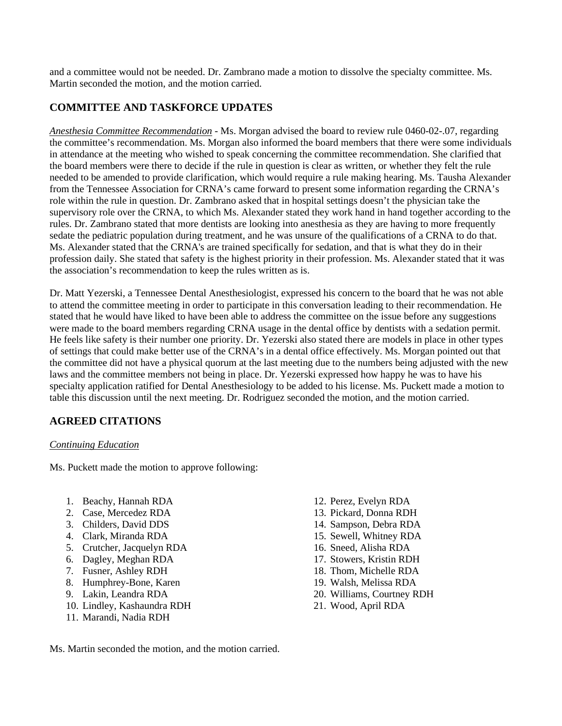and a committee would not be needed. Dr. Zambrano made a motion to dissolve the specialty committee. Ms. Martin seconded the motion, and the motion carried.

## **COMMITTEE AND TASKFORCE UPDATES**

*Anesthesia Committee Recommendation* - Ms. Morgan advised the board to review rule 0460-02-.07, regarding the committee's recommendation. Ms. Morgan also informed the board members that there were some individuals in attendance at the meeting who wished to speak concerning the committee recommendation. She clarified that the board members were there to decide if the rule in question is clear as written, or whether they felt the rule needed to be amended to provide clarification, which would require a rule making hearing. Ms. Tausha Alexander from the Tennessee Association for CRNA's came forward to present some information regarding the CRNA's role within the rule in question. Dr. Zambrano asked that in hospital settings doesn't the physician take the supervisory role over the CRNA, to which Ms. Alexander stated they work hand in hand together according to the rules. Dr. Zambrano stated that more dentists are looking into anesthesia as they are having to more frequently sedate the pediatric population during treatment, and he was unsure of the qualifications of a CRNA to do that. Ms. Alexander stated that the CRNA's are trained specifically for sedation, and that is what they do in their profession daily. She stated that safety is the highest priority in their profession. Ms. Alexander stated that it was the association's recommendation to keep the rules written as is.

Dr. Matt Yezerski, a Tennessee Dental Anesthesiologist, expressed his concern to the board that he was not able to attend the committee meeting in order to participate in this conversation leading to their recommendation. He stated that he would have liked to have been able to address the committee on the issue before any suggestions were made to the board members regarding CRNA usage in the dental office by dentists with a sedation permit. He feels like safety is their number one priority. Dr. Yezerski also stated there are models in place in other types of settings that could make better use of the CRNA's in a dental office effectively. Ms. Morgan pointed out that the committee did not have a physical quorum at the last meeting due to the numbers being adjusted with the new laws and the committee members not being in place. Dr. Yezerski expressed how happy he was to have his specialty application ratified for Dental Anesthesiology to be added to his license. Ms. Puckett made a motion to table this discussion until the next meeting. Dr. Rodriguez seconded the motion, and the motion carried.

## **AGREED CITATIONS**

#### *Continuing Education*

Ms. Puckett made the motion to approve following:

- 1. Beachy, Hannah RDA
- 2. Case, Mercedez RDA
- 3. Childers, David DDS
- 4. Clark, Miranda RDA
- 5. Crutcher, Jacquelyn RDA
- 6. Dagley, Meghan RDA
- 7. Fusner, Ashley RDH
- 8. Humphrey-Bone, Karen
- 9. Lakin, Leandra RDA
- 10. Lindley, Kashaundra RDH
- 11. Marandi, Nadia RDH
- 12. Perez, Evelyn RDA
- 13. Pickard, Donna RDH
- 14. Sampson, Debra RDA
- 15. Sewell, Whitney RDA
- 16. Sneed, Alisha RDA
- 17. Stowers, Kristin RDH
- 18. Thom, Michelle RDA
- 19. Walsh, Melissa RDA
- 20. Williams, Courtney RDH
- 21. Wood, April RDA

Ms. Martin seconded the motion, and the motion carried.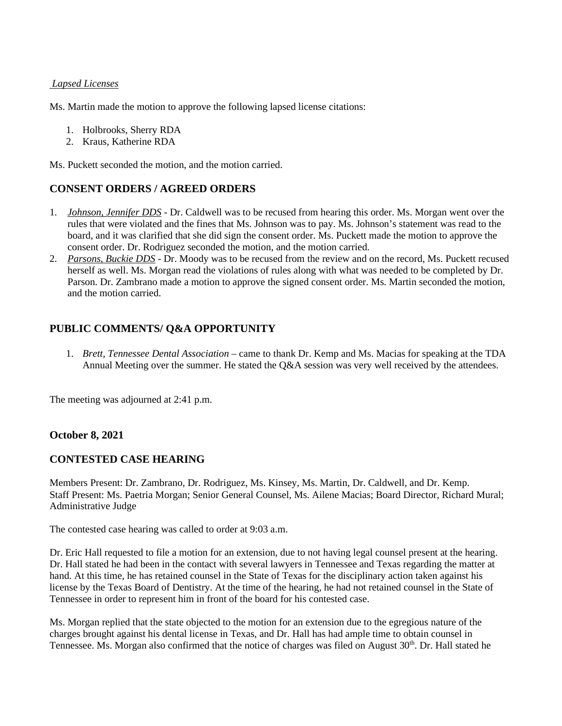#### *Lapsed Licenses*

Ms. Martin made the motion to approve the following lapsed license citations:

- 1. Holbrooks, Sherry RDA
- 2. Kraus, Katherine RDA

Ms. Puckett seconded the motion, and the motion carried.

## **CONSENT ORDERS / AGREED ORDERS**

- 1. *Johnson, Jennifer DDS* Dr. Caldwell was to be recused from hearing this order. Ms. Morgan went over the rules that were violated and the fines that Ms. Johnson was to pay. Ms. Johnson's statement was read to the board, and it was clarified that she did sign the consent order. Ms. Puckett made the motion to approve the consent order. Dr. Rodriguez seconded the motion, and the motion carried.
- 2. *Parsons, Buckie DDS* Dr. Moody was to be recused from the review and on the record, Ms. Puckett recused herself as well. Ms. Morgan read the violations of rules along with what was needed to be completed by Dr. Parson. Dr. Zambrano made a motion to approve the signed consent order. Ms. Martin seconded the motion, and the motion carried.

## **PUBLIC COMMENTS/ Q&A OPPORTUNITY**

1. *Brett, Tennessee Dental Association* – came to thank Dr. Kemp and Ms. Macias for speaking at the TDA Annual Meeting over the summer. He stated the Q&A session was very well received by the attendees.

The meeting was adjourned at 2:41 p.m.

#### **October 8, 2021**

#### **CONTESTED CASE HEARING**

Members Present: Dr. Zambrano, Dr. Rodriguez, Ms. Kinsey, Ms. Martin, Dr. Caldwell, and Dr. Kemp. Staff Present: Ms. Paetria Morgan; Senior General Counsel, Ms. Ailene Macias; Board Director, Richard Mural; Administrative Judge

The contested case hearing was called to order at 9:03 a.m.

Dr. Eric Hall requested to file a motion for an extension, due to not having legal counsel present at the hearing. Dr. Hall stated he had been in the contact with several lawyers in Tennessee and Texas regarding the matter at hand. At this time, he has retained counsel in the State of Texas for the disciplinary action taken against his license by the Texas Board of Dentistry. At the time of the hearing, he had not retained counsel in the State of Tennessee in order to represent him in front of the board for his contested case.

Ms. Morgan replied that the state objected to the motion for an extension due to the egregious nature of the charges brought against his dental license in Texas, and Dr. Hall has had ample time to obtain counsel in Tennessee. Ms. Morgan also confirmed that the notice of charges was filed on August 30<sup>th</sup>. Dr. Hall stated he